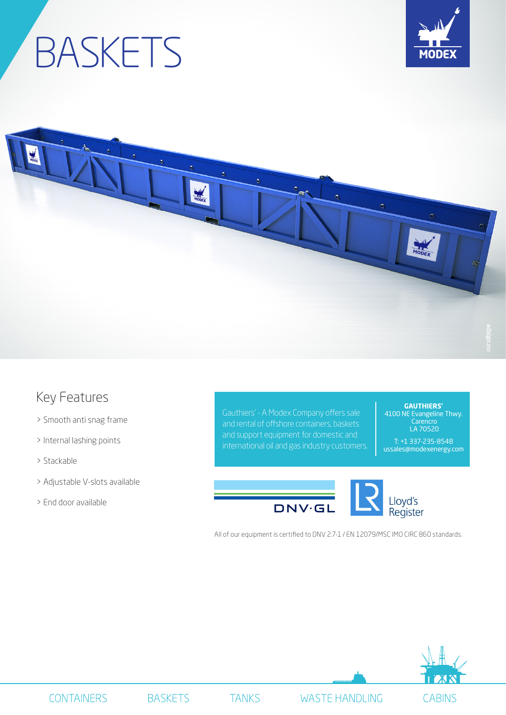## BASKETS





## Key Features

- > Smooth anti snag frame
- > Internal lashing points
- > Stackable
- > Adjustable V-slots available
- > End door available

Gauthiers' - A Modex Company offers sale and rental of offshore containers, baskets and support equipment for domestic and international oil and gas industry customers.

**GAUTHIERS'** 4100 NE Evangeline Thwy. **Carencro** LA 70520

T: +1 337-235-8548 ussales@modexenergy.com



All of our equipment is certified to DNV 2.7-1 / EN 12079/MSC IMO CIRC 860 standards.



**BASKETS** 

**TANKS** 

**WASTE HANDLING**